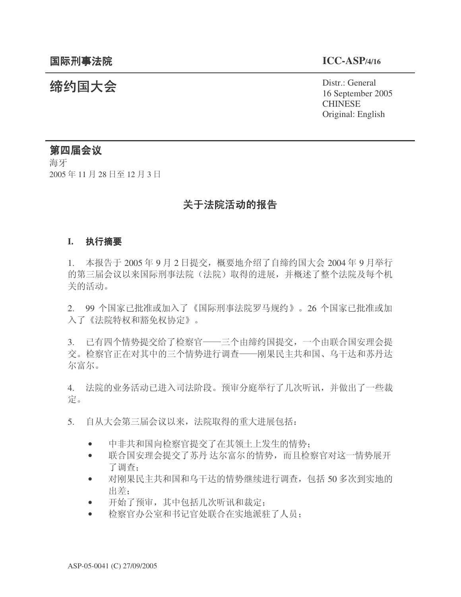统约国大会 Pistr.: General 16 September 2005 CHINESE Original: English

# 第四届会议

海牙 2005年11月28日至12月3日

# 关于法院活动的报告

### **I.** 执行摘要

 $1.$  本报告于 2005年 9 月 2 日提交, 概要地介绍了自缔约国大会 2004年 9 月举行 的第三届会议以来国际刑事法院(法院)取得的进展,并概述了整个法院及每个机 关的活动。

2. 99 个国家已批准或加入了《国际刑事法院罗马规约》。26 个国家已批准或加 入了《法院特权和豁免权协定》。

3. 已有四个情势提交给了检察官——三个由缔约国提交,一个由联合国安理会提 交。检察官正在对其中的三个情势进行调杳——刚果民主共和国、乌干达和苏丹达 尔富尔。

4. 法院的业务活动已进入司法阶段。预审分庭举行了几次听讯,并做出了一些裁 定。

- 5. 自从大会第三届会议以来, 法院取得的重大进展包括:
	- 中非共和国向检察官提交了在其领土上发生的情势;
	- 联合国安理会提交了苏丹达尔富尔的情势,而且检察官对这一情势展开 了调查:
	- 对刚果民主共和国和乌干达的情势继续进行调查, 包括 50 多次到实地的 出差:
	- 开始了预审,其中包括几次听讯和裁定:
	- 检察官办公室和书记官处联合在实地派驻了人员;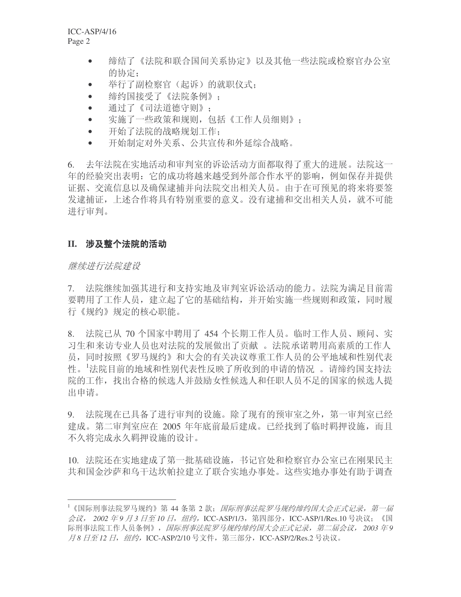- 缔结了《法院和联合国间关系协定》以及其他一些法院或检察官办公室 的协定:
- 举行了副检察官(起诉)的就职仪式:
- 缔约国接受了《法院条例》:
- 通过了《司法道德守则》;
- 实施了一些政策和规则, 包括《工作人员细则》;
- 开始了法院的战略规划工作:
- 开始制定对外关系、公共宣传和外延综合战略。

6. 去年法院在实地活动和审判室的诉讼活动方面都取得了重大的进展。法院这一 年的经验突出表明: 它的成功将越来越受到外部合作水平的影响, 例如保存并提供 证据、交流信息以及确保逮捕并向法院交出相关人员。由于在可预见的将来将要签 发逮捕证,上述合作将具有特别重要的意义。没有逮捕和交出相关人员,就不可能 进行审判。

## II. 涉及整个法院的活动

### 继续进行法院建设

7. 法院继续加强其进行和支持实地及审判室诉讼活动的能力。法院为满足目前需 要聘用了工作人员, 建立起了它的基础结构, 并开始实施一些规则和政策, 同时履 行《规约》规定的核心职能。

8. 法院已从 70 个国家中聘用了 454 个长期工作人员。临时工作人员、顾问、实 习生和来访专业人员也对法院的发展做出了贡献。法院承诺聘用高素质的工作人 员, 同时按照《罗马规约》和大会的有关决议尊重工作人员的公平地域和性别代表 性。1法院目前的地域和性别代表性反映了所收到的申请的情况 。请缔约国支持法 院的工作,找出合格的候选人并鼓励女性候选人和任职人员不足的国家的候选人提 出申请。

9. 法院现在已具备了进行审判的设施。除了现有的预审室之外,第一审判室已经 建成。第二审判室应在 2005 年年底前最后建成。已经找到了临时羁押设施,而且 不久将完成永久羁押设施的设计。

10. 法院还在实地建成了第一批基础设施, 书记官处和检察官办公室已在刚果民主 共和国金沙萨和乌干达坎帕拉建立了联合实地办事处。这些实地办事处有助干调查

<sup>1《</sup>国际刑事法院罗马规约》第44 条第 2 款; *国际刑事法院罗马规约缔约国大会正式记录,第一届* 会议, 2002 年9 月3 日至 10 日, 纽约, ICC-ASP/1/3, 第四部分, ICC-ASP/1/Res.10 号决议; 《国 际刑事法院工作人员条例》,因际刑事法院罗马规约缔约国大会正式记录,第二届会议, 2003 年9 月8 日至 12 日, 纽约, ICC-ASP/2/10 号文件, 第三部分, ICC-ASP/2/Res.2 号决议。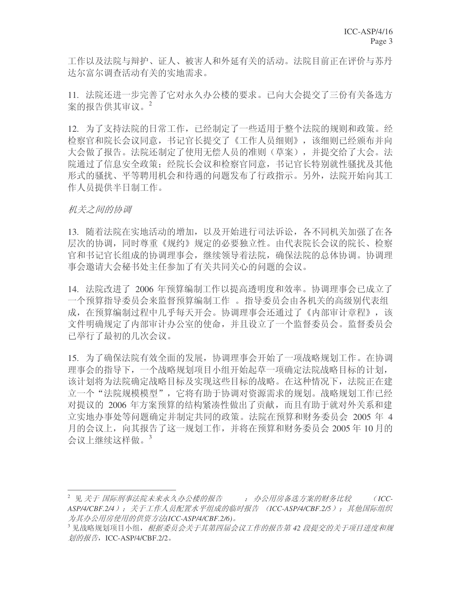工作以及法院与辩护、证人、被害人和外延有关的活动。法院目前正在评价与苏丹 达尔富尔调杳活动有关的实地需求。

11. 法院还进一步完善了它对永久办公楼的要求。已向大会提交了三份有关备选方 案的报告供其审议。<sup>2</sup>

12. 为了支持法院的日常工作, 已经制定了一些适用于整个法院的规则和政策。经 检察官和院长会议同意, 书记官长提交了《工作人员细则》, 该细则已经颁布并向 大会做了报告。法院还制定了使用无偿人员的准则(草案),并提交给了大会。法 院通过了信息安全政策: 经院长会议和检察官同意, 书记官长特别就性骚扰及其他 形式的骚扰、平等聘用机会和待遇的问题发布了行政指示。另外, 法院开始向其工 作人员提供半日制工作。

## 机关之间的协调

13. 随着法院在实地活动的增加,以及开始进行司法诉讼,各不同机关加强了在各 层次的协调,同时尊重《规约》规定的必要独立性。由代表院长会议的院长、检察 官和书记官长组成的协调理事会,继续领导着法院,确保法院的总体协调。协调理 事会邀请大会秘书处主任参加了有关共同关心的问题的会议。

14. 法院改进了 2006 年预算编制工作以提高透明度和效率。协调理事会已成立了 一个预算指导委员会来监督预算编制工作。 指导委员会由各机关的高级别代表组 成, 在预算编制过程中几乎每天开会。协调理事会还通过了《内部审计章程》, 该 文件明确规定了内部审计办公室的使命,并且设立了一个监督委员会。监督委员会 己举行了最初的几次会议。

15. 为了确保法院有效全面的发展, 协调理事会开始了一项战略规划工作。在协调 理事会的指导下, 一个战略规划项目小组开始起草一项确定法院战略目标的计划, 该计划将为法院确定战略目标及实现这些目标的战略。在这种情况下, 法院正在建 立一个"法院规模模型", 它将有助于协调对资源需求的规划。战略规划工作已经 对提议的 2006 年方案预算的结构紧凑性做出了贡献, 而且有助于就对外关系和建 立实地办事处等问题确定并制定共同的政策。法院在预算和财务委员会 2005 年 4 月的会议上, 向其报告了这一规划工作, 并将在预算和财务委员会 2005 年 10 月的 会议上继续这样做。<sup>3</sup>

<sup>&</sup>lt;sup>2</sup> 见 关于 国际刑事法院未来永久办公楼的报告 → 办公用房备选方案的财务比较 → ○ ICC-ASP/4/CBF.2/4); 关于工作人员配置水平组成的临时报告 (ICC-ASP/4/CBF.2/5); 其他国际组织 为其办公用房使用的供资方法(ICC-ASP/4/CBF.2/6)。

<sup>&</sup>lt;sup>3</sup>见战略规划项目小组, 根据委员会关于其第四届会议工作的报告第42 段提交的关于项目进度和规 划的报告, ICC-ASP/4/CBF.2/2。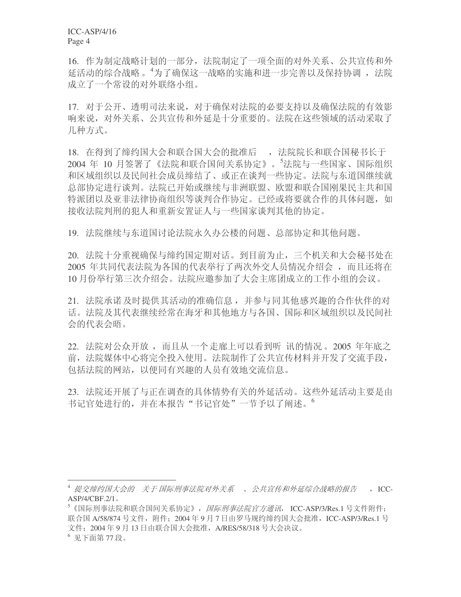ICC-ASP/4/16 Page 4

16. 作为制定战略计划的一部分, 法院制定了一项全面的对外关系、公共宣传和外 延活动的综合战略。4为了确保这一战略的实施和进一步完善以及保持协调, 法院 成立了一个常设的对外联络小组。

17. 对于公开、透明司法来说, 对于确保对法院的必要支持以及确保法院的有效影 响来说, 对外关系、公共宣传和外延是十分重要的。法院在这些领域的活动采取了 几种方式。

18. 在得到了缔约国大会和联合国大会的批准后,,法院院长和联合国秘书长于 2004 年 10 月签署了《法院和联合国间关系协定》。<sup>5</sup>法院与一些国家、国际组织 和区域组织以及民间社会成员缔结了、或正在谈判一些协定。法院与东道国继续就 总部协定讲行谈判。法院已开始或继续与非洲联盟、欧盟和联合国刚果民主共和国 特派团以及亚非法律协商组织等谈判合作协定。已经或将要就合作的具体问题, 如 接收法院判刑的犯人和重新安置证人与一些国家谈判其他的协定。

19. 法院继续与东道国讨论法院永久办公楼的问题、总部协定和其他问题。

20. 法院十分重视确保与缔约国定期对话。到目前为止, 三个机关和大会秘书处在 2005 年共同代表法院为各国的代表举行了两次外交人员情况介绍会,而且还将在 10 月份举行第三次介绍会。法院应邀参加了大会主席团成立的工作小组的会议。

21. 法院承诺及时提供其活动的准确信息, 并参与同其他感兴趣的合作伙伴的对 话。法院及其代表继续经常在海牙和其他地方与各国、国际和区域组织以及民间社 会的代表会晤。

22. 法院对公众开放, 而且从一个走廊上可以看到听 讯的情况。2005 年年底之 前, 法院媒体中心将完全投入使用。法院制作了公共宣传材料并开发了交流手段, 包括法院的网站,以便同有兴趣的人员有效地交流信息。

23. 法院还开展了与正在调查的具体情势有关的外延活动。这些外延活动主要是由 书记官处进行的,并在本报告"书记官处"一节予以了阐述。

<sup>&</sup>lt;sup>4</sup> 提交缔约国大会的 关于国际刑事法院对外关系 、 公共宣传和外延综合战略的报告 → ICC- $ASP/4/CBF.2/1$ .

 $5$ 《国际刑事法院和联合国间关系协定》, *国际刑事法院官方通讯*, ICC-ASP/3/Res.1 号文件附件; 联合国 A/58/874 号文件, 附件; 2004 年 9 月 7 日由罗马规约缔约国大会批准, ICC-ASP/3/Res.1 号 文件; 2004年9月13日由联合国大会批准, A/RES/58/318 号大会决议。

 $6$  见下面第77段。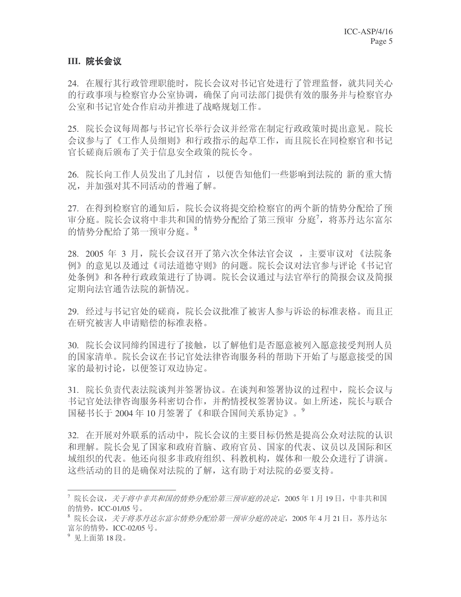## III. 院长会议

24. 在履行其行政管理职能时, 院长会议对书记官处进行了管理监督, 就共同关心 的行政事项与检察官办公室协调,确保了向司法部门提供有效的服务并与检察官办 公室和书记官处合作启动并推进了战略规划工作。

25. 院长会议每周都与书记官长举行会议并经常在制定行政政策时提出意见。院长 会议参与了《工作人员细则》和行政指示的起草工作,而且院长在同检察官和书记 官长磋商后颁布了关于信息安全政策的院长令。

26. 院长向工作人员发出了几封信, 以便告知他们一些影响到法院的 新的重大情 况,并加强对其不同活动的普遍了解。

27. 在得到检察官的通知后, 院长会议将提交给检察官的两个新的情势分配给了预 审分庭。院长会议将中非共和国的情势分配给了第三预审 分庭<sup>7</sup>,将苏丹达尔富尔 的情势分配给了第一预审分庭。8

28. 2005 年 3 月, 院长会议召开了第六次全体法官会议, 主要审议对《法院条 例》的意见以及通过《司法道德守则》的问题。院长会议对法官参与评论《书记官 处条例》和各种行政政策进行了协调。院长会议通过与法官举行的简报会议及简报 定期向法官通告法院的新情况。

29. 经过与书记官处的磋商,院长会议批准了被害人参与诉讼的标准表格。而且正 在研究被害人申请赔偿的标准表格。

30. 院长会议同缔约国进行了接触,以了解他们是否愿意被列入愿意接受判刑人员 的国家清单。院长会议在书记官处法律咨询服务科的帮助下开始了与愿意接受的国 家的最初讨论, 以便签订双边协定。

31. 院长负责代表法院谈判并签署协议。在谈判和签署协议的过程中, 院长会议与 书记官处法律咨询服务科密切合作,并酌情授权签署协议。如上所述,院长与联合 国秘书长于 2004年10月签署了《和联合国间关系协定》。<sup>9</sup>

32. 在开展对外联系的活动中, 院长会议的主要目标仍然是提高公众对法院的认识 和理解。院长会见了国家和政府首脑、政府官员、国家的代表、议员以及国际和区 域组织的代表。他还向很多非政府组织、科教机构, 媒体和一般公众进行了讲演。 这些活动的目的是确保对法院的了解, 这有助于对法院的必要支持。

<sup>7</sup> 院长会议, *关于将中非共和国的情势分配给第三预审庭的决定*, 2005 年 1 月 19 日, 中非共和国 的情势, ICC-01/05 号。

<sup>&</sup>lt;sup>8</sup> 院长会议, *关于将苏丹达尔富尔情势分配给第一预审分庭的决定*, 2005年4月21日, 苏丹达尔 富尔的情势, ICC-02/05 号。

 $9$  见上面第18段。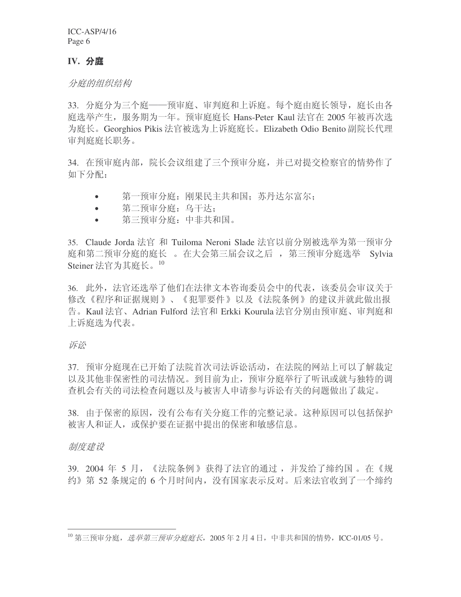## **IV.** 分庭

分庭的组织结构

33. 分庭分为三个庭——预审庭、审判庭和上诉庭。每个庭由庭长领导, 庭长由各 庭选举产生, 服务期为一年。预审庭庭长 Hans-Peter Kaul 法官在 2005 年被再次选 为庭长。Georghios Pikis 法官被选为上诉庭庭长。Elizabeth Odio Benito 副院长代理 宙判庭庭长职务。

34. 在预审庭内部, 院长会议组建了三个预审分庭, 并已对提交检察官的情势作了 如下分配:

- 第一预审分庭: 刚果民主共和国: 苏丹达尔富尔:
- 第二预审分庭: 乌干达:
- 第三预审分庭: 中非共和国。

35. Claude Jorda 法官 和 Tuiloma Neroni Slade 法官以前分别被选举为第一预审分 庭和第二预审分庭的庭长。在大会第三届会议之后, 第三预审分庭选举 Sylvia Steiner 法官为其庭长。<sup>10</sup>

36. 此外, 法官还选举了他们在法律文本咨询委员会中的代表, 该委员会审议关于 修改《程序和证据规则》、《犯罪要件》以及《法院条例》的建议并就此做出报 告。Kaul 法官、Adrian Fulford 法官和 Erkki Kourula 法官分别由预审庭、审判庭和 上诉庭洗为代表。

诉讼

37. 预审分庭现在已开始了法院首次司法诉讼活动, 在法院的网站上可以了解裁定 以及其他非保密性的司法情况。到目前为止,预审分庭举行了听讯或就与独特的调 查机会有关的司法检查问题以及与被害人申请参与诉讼有关的问题做出了裁定。

38. 由于保密的原因, 没有公布有关分庭工作的完整记录。这种原因可以包括保护 被害人和证人,或保护要在证据中提出的保密和敏感信息。

制度建设

39. 2004 年 5 月, 《法院条例》获得了法官的通过, 并发给了缔约国。在《规 约》第 52 条规定的 6 个月时间内,没有国家表示反对。后来法官收到了一个缔约

 $^{10}$  第三预审分庭, 选举第三预审分庭庭长, 2005年2月4日, 中非共和国的情势, ICC-01/05号。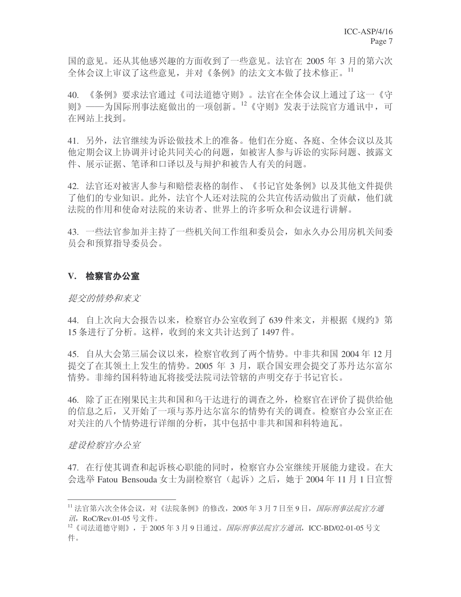国的意见。还从其他感兴趣的方面收到了一些意见。法官在 2005 年 3 月的第六次 全体会议上审议了这些意见,并对《条例》的法文文本做了技术修正。11

40. 《条例》要求法官通过《司法道德守则》。法官在全体会议上通过了这一《守 则》——为国际刑事法庭做出的一项创新。12《守则》发表于法院官方通讯中,可 在网站上找到。

41. 另外, 法官继续为诉讼做技术上的准备。他们在分庭、各庭、全体会议以及其 他定期会议上协调并讨论共同关心的问题, 如被害人参与诉讼的实际问题、披露文 件、展示证据、笔译和口译以及与辩护和被告人有关的问题。

42. 法官还对被害人参与和赔偿表格的制作、《书记官处条例》以及其他文件提供 了他们的专业知识。此外, 法官个人还对法院的公共宣传活动做出了贡献, 他们就 法院的作用和使命对法院的来访者、世界上的许多听众和会议进行讲解。

43. 一些法官参加并主持了一些机关间工作组和委员会,如永久办公用房机关间委 员会和预算指导委员会。

#### V. 检察官办公室

#### 提交的情势和来文

44. 自上次向大会报告以来, 检察官办公室收到了 639 件来文, 并根据《规约》第 15 条进行了分析。这样, 收到的来文共计达到了1497 件。

45. 自从大会第三届会议以来, 检察官收到了两个情势。中非共和国 2004 年 12 月 提交了在其领土上发生的情势。2005 年 3 月, 联合国安理会提交了苏丹达尔富尔 情势。非缔约国科特迪瓦将接受法院司法管辖的声明交存于书记官长。

46. 除了正在刚果民主共和国和乌干达进行的调查之外, 检察官在评价了提供给他 的信息之后,又开始了一项与苏丹达尔富尔的情势有关的调查。检察官办公室正在 对关注的八个情势进行详细的分析, 其中包括中非共和国和科特迪瓦。

建设检察官办公室

47. 在行使其调查和起诉核心职能的同时, 检察官办公室继续开展能力建设。在大 会选举 Fatou Bensouda 女士为副检察官(起诉)之后, 她于 2004年11月1日宣誓

<sup>11</sup> 法官第六次全体会议,对《法院条例》的修改, 2005 年 3 月 7 日至 9 日, *国际刑事法院官方通* 況, RoC/Rev.01-05 号文件。

<sup>&</sup>lt;sup>12</sup>《司法道德守则》,于2005年3月9日通过。*国际刑事法院官方通讯*, ICC-BD/02-01-05 号文 件。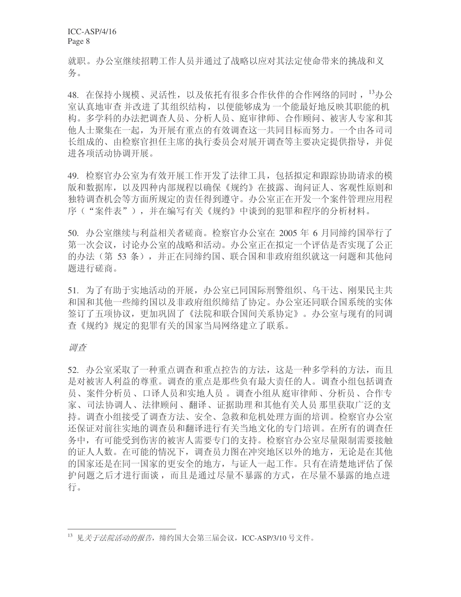就职。办公室继续招聘工作人员并通过了战略以应对其法定使命带来的挑战和义 条。

48. 在保持小规模、灵活性, 以及依托有很多合作伙伴的合作网络的同时, <sup>13</sup>办公 室认真地审查并改进了其组织结构,以便能够成为一个能最好地反映其职能的机 构。多学科的办法把调杳人员、分析人员、庭审律师、合作顾问、被害人专家和其 他人士聚集在一起,为开展有重点的有效调杳这一共同目标而努力。一个由各司司 长组成的、由检察官担任主席的执行委员会对展开调查等主要决定提供指导,并促 进各项活动协调开展。

49. 检察官办公室为有效开展工作开发了法律工具, 包括拟定和跟踪协助请求的模 版和数据库,以及四种内部规程以确保《规约》在披露、询问证人、客观性原则和 独特调查机会等方面所规定的责任得到遵守。办公室正在开发一个案件管理应用程 序("案件表"),并在编写有关《规约》中谈到的犯罪和程序的分析材料。

50. 办公室继续与利益相关者磋商。检察官办公室在 2005 年 6 月同缔约国举行了 第一次会议, 讨论办公室的战略和活动。办公室正在拟定一个评估是否实现了公正 的办法(第53条),并正在同缔约国、联合国和非政府组织就这一问题和其他问 题讲行磋商。

51. 为了有助于实地活动的开展, 办公室已同国际刑警组织、乌干达、刚果民主共 和国和其他一些缔约国以及非政府组织缔结了协定。办公室还同联合国系统的实体 签订了五项协议,更加巩固了《法院和联合国间关系协定》。办公室与现有的同调 查《规约》规定的犯罪有关的国家当局网络建立了联系。

调查

52. 办公室采取了一种重点调查和重点控告的方法, 这是一种多学科的方法, 而且 是对被害人利益的尊重。调查的重点是那些负有最大责任的人。调查小组包括调查 员、案件分析员、口译人员和实地人员。调查小组从庭审律师、分析员、合作专 家、司法协调人、法律顾问、翻译、证据助理和其他有关人员那里获取广泛的支 持。调杳小组接受了调杳方法、安全、急救和危机处理方面的培训。检察官办公室 还保证对前往实地的调查员和翻译进行有关当地文化的专门培训。在所有的调查任 务中, 有可能受到伤害的被害人需要专门的支持。检察官办公室尽量限制需要接触 的证人人数。在可能的情况下, 调查员力图在冲突地区以外的地方, 无论是在其他 的国家还是在同一国家的更安全的地方, 与证人一起工作。只有在清楚地评估了保 护问题之后才进行面谈,而且是通过尽量不暴露的方式,在尽量不暴露的地点进 行。

<sup>13</sup> 见*关于法院活动的报告*, 缔约国大会第三届会议, ICC-ASP/3/10 号文件。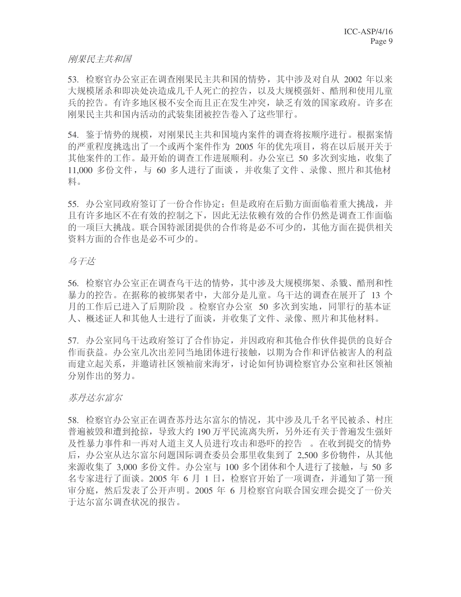#### 刚果民主共和国

53. 检察官办公室正在调查刚果民主共和国的情势, 其中涉及对自从 2002 年以来 大规模屠杀和即决处决造成几千人死亡的控告, 以及大规模强奸、酷刑和使用儿童 兵的控告。有许多地区极不安全而且正在发生冲突, 缺乏有效的国家政府。许多在 刚果民主共和国内活动的武装集团被控告卷入了这些罪行。

54. 鉴于情势的规模, 对刚果民主共和国境内案件的调查将按顺序进行。根据案情 的严重程度挑选出了一个或两个案件作为 2005 年的优先项目, 将在以后展开关于 其他案件的工作。最开始的调查工作进展顺利。办公室已 50 多次到实地, 收集了 11,000 多份文件, 与 60 多人进行了面谈, 并收集了文件、录像、照片和其他材 料。

55. 办公室同政府签订了一份合作协定: 但是政府在后勤方面面临着重大挑战, 并 且有许多地区不在有效的控制之下,因此无法依赖有效的合作仍然是调查工作面临 的一项巨大挑战。联合国特派团提供的合作将是必不可少的, 其他方面在提供相关 资料方面的合作也是必不可少的。

### 乌干达

56. 检察官办公室正在调查乌干达的情势, 其中涉及大规模绑架、杀戮、酷刑和性 暴力的控告。在据称的被绑架者中,大部分是儿童。乌干达的调查在展开了 13 个 月的工作后已进入了后期阶段 。 检察官办公室 50 多次到实地, 同罪行的基本证 人、概述证人和其他人士进行了面谈,并收集了文件、录像、照片和其他材料。

57. 办公室同乌干达政府签订了合作协定,并因政府和其他合作伙伴提供的良好合 作而获益。办公室几次出差同当地团体进行接触, 以期为合作和评估被害人的利益 而建立起关系,并邀请社区领袖前来海牙,讨论如何协调检察官办公室和社区领袖 分别作出的努力。

苏丹达尔富尔

58. 检察官办公室正在调查苏丹达尔富尔的情况, 其中涉及几千名平民被杀、村庄 普遍被毁和遭到抢掠, 导致大约 190 万平民流离失所, 另外还有关于普遍发生强奸 及性暴力事件和一再对人道主义人员进行攻击和恐吓的控告。。在收到提交的情势 后, 办公室从达尔富尔问题国际调查委员会那里收集到了 2.500 多份物件, 从其他 来源收集了 3,000 多份文件。办公室与 100 多个团体和个人进行了接触, 与 50 多 名专家进行了面谈。2005 年 6 月 1 日, 检察官开始了一项调杳, 并通知了第一预 审分庭, 然后发表了公开声明。2005 年 6 月检察官向联合国安理会提交了一份关 于达尔富尔调查状况的报告。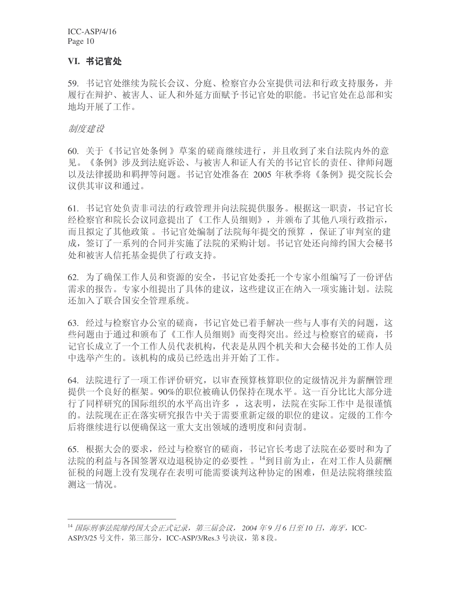ICC-ASP/4/16 Page 10

#### **VI. 书记官处**

59. 书记官处继续为院长会议、分庭、检察官办公室提供司法和行政支持服务, 并 履行在辩护、被害人、证人和外延方面赋予书记官处的职能。书记官处在总部和实 地均开展了工作。

#### 制度建设

60. 关于《书记官处条例》草案的磋商继续进行, 并且收到了来自法院内外的意 见。《条例》涉及到法庭诉讼、与被害人和证人有关的书记官长的责任、律师问题 以及法律援助和羁押等问题。书记官处准备在 2005 年秋季将《条例》提交院长会 议供其审议和通过。

61. 书记官处负责非司法的行政管理并向法院提供服务。根据这一职责, 书记官长 经检察官和院长会议同意提出了《工作人员细则》,并颁布了其他八项行政指示, 而且拟定了其他政策 。书记官处编制了法院每年提交的预算 ,保证了审判室的建 成, 签订了一系列的合同并实施了法院的采购计划。书记官处还向缔约国大会秘书 处和被害人信托基金提供了行政支持。

62. 为了确保工作人员和资源的安全,书记官处委托一个专家小组编写了一份评估 需求的报告。专家小组提出了具体的建议,这些建议正在纳入一项实施计划。法院 还加入了联合国安全管理系统。

63. 经过与检察官办公室的磋商, 书记官处已着手解决一些与人事有关的问题, 这 些问题由于通过和颁布了《工作人员细则》而变得突出。经过与检察官的磋商,书 记官长成立了一个工作人员代表机构, 代表是从四个机关和大会秘书处的工作人员 中选举产生的。该机构的成员已经选出并开始了工作。

64. 法院进行了一项工作评价研究, 以审杳预算核算职位的定级情况并为薪酬管理 提供一个良好的框架。90%的职位被确认仍保持在现水平。这一百分比比大部分进 行了同样研究的国际组织的水平高出许多, 这表明, 法院在实际工作中是很谨慎 的。法院现在正在落实研究报告中关于需要重新定级的职位的建议。定级的工作今 后将继续进行以便确保这一重大支出领域的透明度和问责制。

65. 根据大会的要求, 经过与检察官的磋商, 书记官长考虑了法院在必要时和为了 法院的利益与各国签署双边退税协定的必要性。<sup>14</sup>到目前为止, 在对工作人员薪酬 征税的问题上没有发现存在表明可能需要谈判这种协定的困难,但是法院将继续监 测这一情况。

<sup>&</sup>lt;sup>14</sup> 国际刑事法院缔约国大会正式记录, 第三届会议, 2004 年9 月6 日至10 日, 海牙, ICC-ASP/3/25 号文件, 第三部分, ICC-ASP/3/Res.3 号决议, 第8段。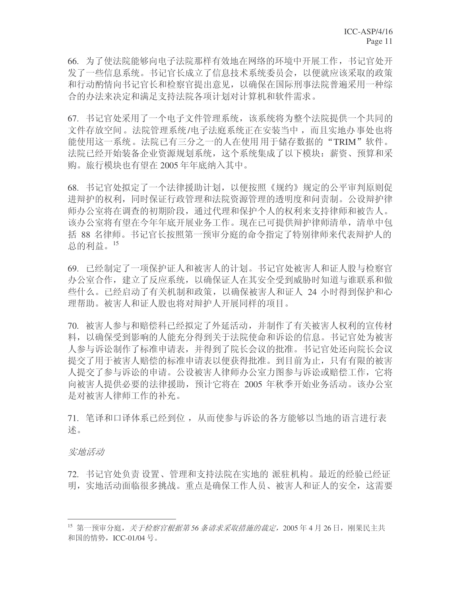66. 为了使法院能够向电子法院那样有效地在网络的环境中开展工作, 书记官处开 发了一些信息系统。书记官长成立了信息技术系统委员会, 以便就应该采取的政策 和行动酌情向书记官长和检察官提出意见,以确保在国际刑事法院普遍采用一种综 合的办法来决定和满足支持法院各项计划对计算机和软件需求。

67. 书记官处采用了一个电子文件管理系统,该系统将为整个法院提供一个共同的 文件存放空间。法院管理系统/电子法庭系统正在安装当中,而且实地办事处也将 能使用这一系统 。法院已有三分之一的人在使用 用于储存数据的"TRIM"软件 。 法院已经开始装备企业资源规划系统,这个系统集成了以下模块:薪资、预算和采 购。旅行模块也有望在 2005 年年底纳入其中。

68. 书记官处拟定了一个法律援助计划, 以便按照《规约》规定的公平审判原则促 进辩护的权利,同时保证行政管理和法院资源管理的透明度和问责制。公设辩护律 师办公室将在调查的初期阶段,通过代理和保护个人的权利来支持律师和被告人。 该办公室将有望在今年年底开展业务工作。现在已可提供辩护律师清单,清单中包 括 88 名律师。书记官长按照第一预审分庭的命令指定了特别律师来代表辩护人的 总的利益。 $^{15}$ 

69. 已经制定了一项保护证人和被害人的计划。书记官处被害人和证人股与检察官 办公室合作, 建立了反应系统, 以确保证人在其安全受到威胁时知道与谁联系和做 些什么。已经启动了有关机制和政策,以确保被害人和证人 24 小时得到保护和心 理帮助。被害人和证人股也将对辩护人开展同样的项目。

70. 被害人参与和赔偿科已经拟定了外延活动, 并制作了有关被害人权利的宣传材 料,以确保受到影响的人能充分得到关于法院使命和诉讼的信息。书记官处为被害 人参与诉讼制作了标准申请表,并得到了院长会议的批准。书记官处还向院长会议 提交了用于被害人赔偿的标准申请表以便获得批准。到目前为止, 只有有限的被害 人提交了参与诉讼的申请。公设被害人律师办公室力图参与诉讼或赔偿工作, 它将 向被害人提供必要的法律援助, 预计它将在 2005 年秋季开始业务活动。该办公室 是对被害人律师工作的补充。

71. 笔译和口译体系已经到位, 从而使参与诉讼的各方能够以当地的语言进行表 述。

实地活动

72. 书记官处负责设置、管理和支持法院在实地的 派驻机构。最近的经验已经证 明, 实地活动面临很多挑战。重点是确保工作人员、被害人和证人的安全, 这需要

<sup>15</sup> 第一预审分庭, *关于检察官根据第56 条请求采取措施的裁定,* 2005年4月26日, 刚果民主共 和国的情势, ICC-01/04 号。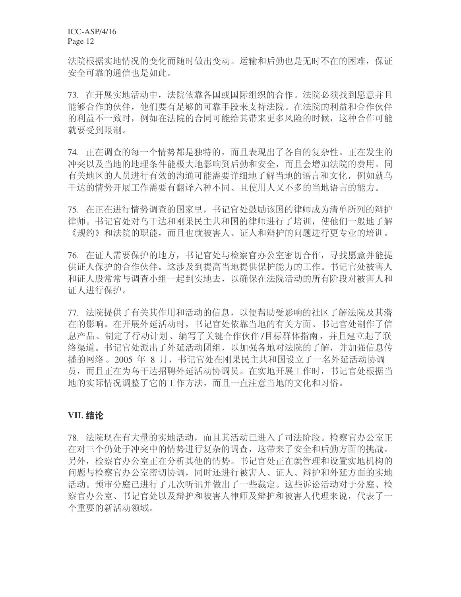法院根据实地情况的变化而随时做出变动。运输和后勤也是无时不在的困难,保证 安全可靠的通信也是如此。

73. 在开展实地活动中,法院依靠各国或国际组织的合作。法院必须找到愿意并且 能够合作的伙伴,他们要有足够的可靠手段来支持法院。在法院的利益和合作伙伴 的利益不一致时, 例如在法院的合同可能给其带来更多风险的时候, 这种合作可能 就要受到限制。

74. 正在调查的每一个情势都是独特的,而且表现出了各自的复杂性。正在发生的 冲突以及当地的地理条件能极大地影响到后勤和安全,而且会增加法院的费用。同 有关地区的人员进行有效的沟通可能需要详细地了解当地的语言和文化,例如就乌 于达的情势开展工作需要有翻译六种不同、且使用人又不多的当地语言的能力。

75. 在正在进行情势调查的国家里, 书记官处鼓励该国的律师成为清单所列的辩护 律师。书记官处对乌干达和刚果民主共和国的律师进行了培训,使他们一般地了解 《规约》和法院的职能,而且也就被害人、证人和辩护的问题进行更专业的培训。

76. 在证人需要保护的地方, 书记官处与检察官办公室密切合作, 寻找愿意并能提 供证人保护的合作伙伴。这涉及到提高当地提供保护能力的工作。书记官处被害人 和证人股常常与调查小组一起到实地去,以确保在法院活动的所有阶段对被害人和 证人讲行保护。

77. 法院提供了有关其作用和活动的信息, 以便帮助受影响的社区了解法院及其潜 在的影响。在开展外延活动时,书记官处依靠当地的有关方面。书记官处制作了信 息产品、制定了行动计划、编写了关键合作伙伴/目标群体指南,并且建立起了联 络渠道。书记官处派出了外延活动团组,以加强各地对法院的了解,并加强信息传 播的网络。2005 年 8 月, 书记官处在刚果民主共和国设立了一名外延活动协调 员, 而且正在为乌干达招聘外延活动协调员。在实地开展工作时, 书记官处根据当 地的实际情况调整了它的工作方法,而且一直注意当地的文化和习俗。

## **VII.** 结论

78. 法院现在有大量的实地活动,而且其活动已进入了司法阶段。检察官办公室正 在对三个仍处于冲突中的情势进行复杂的调查,这带来了安全和后勤方面的挑战。 另外,检察官办公室正在分析其他的情势。书记官处正在就管理和设置实地机构的 问题与检察官办公室密切协调,同时还进行被害人、证人、辩护和外延方面的实地 活动。预审分庭已进行了几次听讯并做出了一些裁定。这些诉讼活动对于分庭、检 察官办公室、书记官处以及辩护和被害人律师及辩护和被害人代理来说,代表了一 个重要的新活动领域。